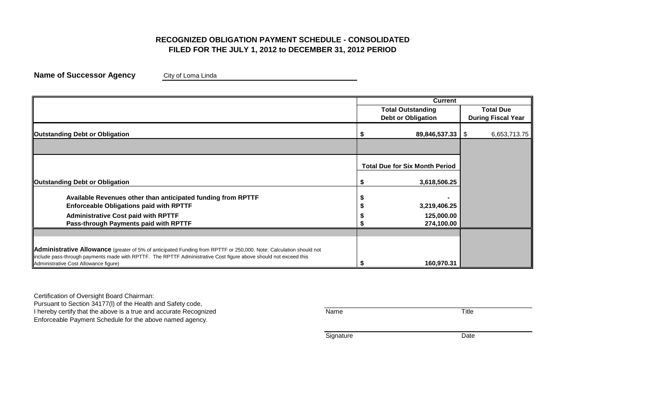## **RECOGNIZED OBLIGATION PAYMENT SCHEDULE - CONSOLIDATED FILED FOR THE JULY 1, 2012 to DECEMBER 31, 2012 PERIOD**

**Name of Successor Agency** City of Loma Linda

|                                                                                                                                                                                                                                                                                 | <b>Current</b>                        |                           |
|---------------------------------------------------------------------------------------------------------------------------------------------------------------------------------------------------------------------------------------------------------------------------------|---------------------------------------|---------------------------|
|                                                                                                                                                                                                                                                                                 | <b>Total Outstanding</b>              | <b>Total Due</b>          |
|                                                                                                                                                                                                                                                                                 | <b>Debt or Obligation</b>             | <b>During Fiscal Year</b> |
| <b>Outstanding Debt or Obligation</b>                                                                                                                                                                                                                                           | 89,846,537.33   \$                    | 6,653,713.75              |
|                                                                                                                                                                                                                                                                                 |                                       |                           |
|                                                                                                                                                                                                                                                                                 | <b>Total Due for Six Month Period</b> |                           |
| <b>Outstanding Debt or Obligation</b>                                                                                                                                                                                                                                           | 3,618,506.25                          |                           |
| Available Revenues other than anticipated funding from RPTTF                                                                                                                                                                                                                    |                                       |                           |
| <b>Enforceable Obligations paid with RPTTF</b>                                                                                                                                                                                                                                  | 3,219,406.25                          |                           |
| <b>Administrative Cost paid with RPTTF</b>                                                                                                                                                                                                                                      | 125,000.00                            |                           |
| Pass-through Payments paid with RPTTF                                                                                                                                                                                                                                           | 274,100.00                            |                           |
|                                                                                                                                                                                                                                                                                 |                                       |                           |
| Administrative Allowance (greater of 5% of anticipated Funding from RPTTF or 250,000. Note: Calculation should not<br>include pass-through payments made with RPTTF. The RPTTF Administrative Cost figure above should not exceed this<br>Administrative Cost Allowance figure) | 160,970.31                            |                           |

Certification of Oversight Board Chairman:

Pursuant to Section 34177(l) of the Health and Safety code, I hereby certify that the above is a true and accurate Recognized Title Name Name Enforceable Payment Schedule for the above named agency.

Signature Date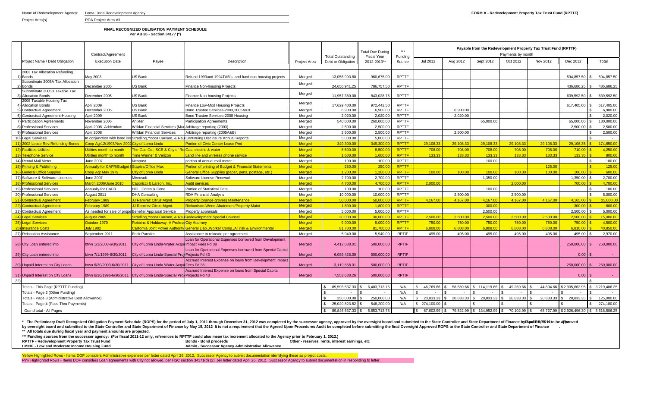|          |                                                 |                                                        |                                                                         |                                                                                                  |               |                          | <b>Total Due During</b> | $***$        |                      |           |                            | Payable from the Redevelopment Property Tax Trust Fund (RPTTF) |           |                                    |                 |  |  |  |  |
|----------|-------------------------------------------------|--------------------------------------------------------|-------------------------------------------------------------------------|--------------------------------------------------------------------------------------------------|---------------|--------------------------|-------------------------|--------------|----------------------|-----------|----------------------------|----------------------------------------------------------------|-----------|------------------------------------|-----------------|--|--|--|--|
|          |                                                 | Contract/Agreement                                     |                                                                         |                                                                                                  |               | <b>Total Outstanding</b> | <b>Fiscal Year</b>      | Funding      | Payments by month    |           |                            |                                                                |           |                                    |                 |  |  |  |  |
|          | Project Name / Debt Obligation                  | <b>Execution Date</b>                                  | Pavee                                                                   | Description                                                                                      | Project Area  | Debt or Obligation       | 2012-2013**             | Source       | Jul 2012             | Aug 2012  | Sept 2012                  | Oct 2012                                                       | Nov 2012  | Dec 2012                           | Total           |  |  |  |  |
|          |                                                 |                                                        |                                                                         |                                                                                                  |               |                          |                         |              |                      |           |                            |                                                                |           |                                    |                 |  |  |  |  |
|          | 2003 Tax Allocation Refunding                   |                                                        |                                                                         |                                                                                                  |               |                          |                         |              |                      |           |                            |                                                                |           |                                    |                 |  |  |  |  |
| 1) Bonds |                                                 | May 2003                                               | <b>JS Bank</b>                                                          | Refund 1993and 1994TAB's, and fund non-housing projects                                          | Meraed        | 13.056.993.80            | 960.675.00              | <b>RPTTF</b> |                      |           |                            |                                                                |           | 594.857.50                         | 594.857.50      |  |  |  |  |
| 2) Bonds | Subordinate 2005A Tax Allocation                | December 2005                                          | JS Bank                                                                 |                                                                                                  | Merged        | 24,656,941.25            | 786,757.50              | <b>RPTTF</b> |                      |           |                            |                                                                |           | 436.686.25                         | 436,686.25      |  |  |  |  |
|          | Subordinate 2005B Taxable Tax                   |                                                        |                                                                         | <b>Finance Non-housing Projects</b>                                                              |               |                          |                         |              |                      |           |                            |                                                                |           |                                    |                 |  |  |  |  |
|          | 3) Allocation Bonds                             | December 2005                                          | <b>JS Bank</b>                                                          | <b>Finance Non-housing Projects</b>                                                              | Merged        | 11,957,380.00            | 843.028.75              | <b>RPTTF</b> |                      |           |                            |                                                                |           | 639.592.50                         | 639,592.50      |  |  |  |  |
|          | 2008 Taxable Housing Tax                        |                                                        |                                                                         |                                                                                                  |               |                          |                         |              |                      |           |                            |                                                                |           |                                    |                 |  |  |  |  |
|          | <b>Allocation Bonds</b>                         | April 2009                                             | <b>JS Bank</b>                                                          | Finance Low-Mod Housing Projects                                                                 | Merged        | 17,629,400.00            | 972.442.50              | RPTTF        |                      |           |                            |                                                                |           | 617,405.00                         | 617,405.00      |  |  |  |  |
|          | 5) Contractual Agreement                        | December 2005                                          | US Bank                                                                 | Bond Trustee Services-2003.2005A&B                                                               | Merged        | 6.900.00                 | 6.900.00                | <b>RPTTF</b> |                      | 6.900.00  |                            |                                                                |           |                                    | 6.900.00        |  |  |  |  |
|          | 6) Contractual Agreement-Housing                | April 2009                                             | US Bank                                                                 | Bond Trustee Services-2008 Housing                                                               | Merged        | 2,020.00                 | 2,020.00                | <b>RPTTF</b> |                      | 2,020.00  |                            |                                                                |           |                                    | 2,020.00        |  |  |  |  |
|          | 7) Participation Agreements                     | November 2006                                          | Anixter                                                                 | <b>Participation Agreements</b>                                                                  | Merged        | 540,000.00               | 260.000.00              | <b>RPTTF</b> |                      |           | 65.000.00                  |                                                                |           | 65,000.00                          | 130.000.00      |  |  |  |  |
|          | 8) Professional Services                        | April 2008 - Addendum                                  | Willdan Financial Services (MuriArbitrage reporting (2003)              |                                                                                                  | Merged        | 2,500.00                 | 2,500.00                | <b>RPTTF</b> |                      |           |                            |                                                                |           | 2,500.00                           | 2,500.00        |  |  |  |  |
|          | 9) Professional Services                        | April 2008                                             | Willdan Financial Services                                              | Arbitrage reporting (2005A&B)                                                                    | Merged        | 2,500.00                 | 2.500.00                | <b>RPTTF</b> |                      | 2.500.00  |                            |                                                                |           |                                    | 2,500.00        |  |  |  |  |
|          | 10) Legal Services                              |                                                        |                                                                         | In conjunction with bond iss Stradling, Yocca Carlson, & RauContinuing Disclosure Annual Reports | Merged        | 5.000.00                 | 5.000.00                | <b>RPTTF</b> |                      |           |                            |                                                                |           |                                    | $\sim$ $\sim$   |  |  |  |  |
|          | 11) 2002 Lease Rev. Refunding Bonds             | Coop Agr12/1993/Nov 2002 City of Loma Linda            |                                                                         | <b>Portion of Civic Center Lease Pmt</b>                                                         | <b>Merged</b> | 349.300.00               | 349.300.00              | <b>RPTTF</b> | 29.108.33            | 29.108.33 | 29.108.33                  | 29.108.33                                                      | 29.108.33 | 29.108.35<br>$\overline{\text{S}}$ | 174,650,00      |  |  |  |  |
|          | 12) Facilities Utilities                        | Itilities month to month                               | The Gas Co., SCE & City of ReiGas, electric & water                     |                                                                                                  | <b>Merged</b> | 8.500.00                 | 8.500.00                | <b>RPTTF</b> | 708.00               | 708.00    | 708.00                     | 708.00                                                         | 708.00    | 710.00                             | 4.250.00        |  |  |  |  |
|          | 13) Telephone Service                           | <b>Jtilities month to month</b>                        | Time Warner & Verizon                                                   | Land line and wireless phone service                                                             | <b>Merged</b> | 1.600.00                 | 1.600.00                | <b>RPTTF</b> | 133.33               | 133.33    | 133.33                     | 133.33                                                         | 133.33    | 133.35                             | 800.00          |  |  |  |  |
|          | 14) Rental Mail Meter                           | <b>June 2007</b>                                       | Neopost                                                                 | portion of annual mail meter                                                                     | Merged        | 100.00                   | 100.00                  | <b>RPTTF</b> |                      |           | 100.00                     |                                                                |           | ፍ                                  | 100.00          |  |  |  |  |
|          | <b>Printing &amp; Publishing</b>                | Annually-for CAFR/Budget                               | <b>Staples/Office Max</b>                                               | Portion of printing of Budget & Financial Statements                                             | Merged        | 250.00                   | 250.00                  | <b>RPTTF</b> |                      |           |                            |                                                                | 125.00    |                                    | 125.00          |  |  |  |  |
|          | General Office Supples                          | Coop Agr May 1979                                      | City of Loma Linda                                                      | General Office Supplies (paper, pens, postage, etc.)                                             | <b>Merged</b> | 1.200.00                 | 1.200.00                | <b>RPTTF</b> | 100.00               | 100.00    | 100.00                     | 100.00                                                         | 100.00    | 100.00                             | 600.00          |  |  |  |  |
|          | 17) Software & Software Licenses                | <b>June 2007</b>                                       | Mircosoft                                                               | Software License Renewal                                                                         | Merged        | 2,700.00                 | 2,700.00                | <b>RPTTF</b> |                      |           | 1,350.00                   |                                                                |           | 1,350.00                           | 2,700.00        |  |  |  |  |
|          | 18) Professional Services                       | March 2006/June 2010                                   | Caporicci & Larson, Inc.                                                | <b>Audit services</b>                                                                            | <b>Merged</b> | 4,700.00                 | 4,700.00                | <b>RPTTF</b> | 2,000.00             |           |                            | 2.000.0                                                        |           | 700.00                             | 4,700.00        |  |  |  |  |
|          | 19) Professional Services                       | Annually-for CAFR                                      | HDL. Coren & Cone                                                       | Portion of Statistical Data                                                                      | Merged        | 100.00                   | 100.00                  | <b>RPTTF</b> |                      |           | 100.00                     |                                                                |           |                                    | 100.00          |  |  |  |  |
|          | 20) Professional Services                       | August 2011                                            | <b>DHA Consulting</b>                                                   | <b>RDA Financial Analysis</b>                                                                    | Merged        | 10,000.00                | 10.000.00               | <b>RPTTF</b> |                      | 2.500.00  |                            | 2.500.00                                                       |           |                                    | 5,000.00        |  |  |  |  |
|          | 21) Contractual Agreement                       | February 1989                                          | <b>JJ Ramirez Citrus Mgmt.</b>                                          | <b>Property (orange groves) Maintenance</b>                                                      | <b>Merged</b> | 50.000.00                | 50.000.00               | <b>RPTTF</b> | 4.167.00             | 4.167.00  | 4.167.00                   | 4.167.00                                                       | 4.167.00  | 4.165.00                           | 25,000.00       |  |  |  |  |
|          |                                                 |                                                        |                                                                         |                                                                                                  | <b>Merged</b> |                          | 1.800.00                | <b>RPTTF</b> |                      |           | 300.00                     |                                                                |           | 300.00                             | 600.00          |  |  |  |  |
|          | 22) Contractual Agreement                       | February 1989                                          | <b>JJ Ramirez Citrus Mgmt</b>                                           | <b>Richardson Weed Abatement/Property Maint</b>                                                  |               | 1.800.00                 |                         | <b>RPTTF</b> |                      |           |                            |                                                                |           |                                    |                 |  |  |  |  |
|          | 23) Contractual Agreement                       | As needed for sale of prope Benefiel Appraisal Service |                                                                         | Property appraisals                                                                              | Merged        | 5.000.00                 | 5.000.00                |              |                      |           | 2,500.00                   |                                                                |           | 2.500.00                           | 5.000.00        |  |  |  |  |
|          | 24) Legal Services                              | August 2009                                            |                                                                         | Stradling, Yocca Carlson, & Rau Redevelopment Special Counsel                                    | <b>Merged</b> | 30.000.00                | 30.000.00               | <b>RPTTF</b> | 2,500.00             | 2.500.00  | 2.500.00                   | 2.500.00                                                       | 2.500.00  | 2.500.00                           | 15,000,00       |  |  |  |  |
|          | 25) Legal Services                              | October 1970                                           | Robbins & Holdawav. A Profess <sup>I</sup> City Attorney                |                                                                                                  | Merged        | 9.000.00                 | 9.000.00                | <b>RPTTF</b> | 750.00               | 750.00    | 750.00                     | 750.00                                                         | 750.00    | 750.00                             | 4.500.00        |  |  |  |  |
|          | 26) Insurance Costs                             | uly 1982                                               |                                                                         | <u> California Joint Power Authority General Liab.,Worker Comp.,All risk &amp; Environmental</u> | Merged        | 81,700.00                | 81.700.00               | <b>RPTTF</b> | 6,808.00             | 6.808.00  | 6,808.00                   | 6,808.00                                                       | 6,808.00  | 6,810.00                           | 40,850.00       |  |  |  |  |
|          | 27) Relocation Assistance                       | September 2011                                         | Erick Paredes                                                           | Assistance to relocate per agreement                                                             | Merged        | 5.940.00                 | 5.940.00                | <b>RPTIF</b> | 495.00               | 495.00    | 495.00                     | 495.00                                                         | 495.00    | 495.00                             | 2.970.00        |  |  |  |  |
|          | 28) City Loan entered into                      | btwn 1/1/2003-6/30/2011                                | City of Loma Linda-Water Acquilmpact Fees Fd 38                         | Loan for Operational Expenses borrowed from Development                                          | Merged        | 4,412,088.01             | 500.000.00              | <b>RPTIF</b> |                      |           |                            |                                                                |           | 250,000,00<br>S.                   | 250,000.00      |  |  |  |  |
|          | 29) City Loan entered into                      | btwn 7/1/1999-6/30/2011                                | City of Loma Linda-Special Proj Projects Fd 43                          | Loan for Operational Expenses borrowed from Special Capital                                      | Merged        | 6,089,428.00             | 500.000.00              | <b>RPTIF</b> |                      |           |                            |                                                                |           | 0.00                               |                 |  |  |  |  |
|          | 30) Unpaid Interest on City Loans               |                                                        | btwn 6/30/2003-6/30/2011 City of Loma Linda-Water AcquiFees Fd 38       | Accrued Interest Expense on loans from Development Impact                                        | Merged        | 3.119.858.01             | 500.000.00              | <b>RPTIF</b> |                      |           |                            |                                                                |           | 250,000,00                         | 250,000,00      |  |  |  |  |
|          |                                                 |                                                        |                                                                         | Accrued Interest Expense on loans from Special Capital                                           |               |                          |                         |              |                      |           |                            |                                                                |           |                                    |                 |  |  |  |  |
|          | 31) Unpaid Interest on City Loans               |                                                        | btwn 6/30/1996-6/30/2011 City of Loma Linda-Special Proj Projects Fd 43 |                                                                                                  | Merged        | 7,553,638.26             | 500.000.00              | <b>RPTIF</b> |                      |           |                            |                                                                |           | 0.00                               |                 |  |  |  |  |
| 32)      |                                                 |                                                        |                                                                         |                                                                                                  |               |                          |                         |              |                      |           |                            |                                                                |           |                                    |                 |  |  |  |  |
|          | Totals - This Page (RPTTF Funding)              |                                                        |                                                                         |                                                                                                  |               | 89.596.537.33            | 6.403.713.75            | N/A          | 46.769.66            | 58.689.66 | \$114.119.66               | 49.269.66                                                      | 44.894.66 | \$2.905.662.95                     | \$ 3.219,406.25 |  |  |  |  |
|          | Totals - Page 2 (Other Funding)                 |                                                        |                                                                         |                                                                                                  |               |                          |                         | N/A          |                      |           |                            |                                                                |           |                                    |                 |  |  |  |  |
|          | Totals - Page 3 (Administrative Cost Allowance) |                                                        |                                                                         |                                                                                                  |               | 250,000.00               | 250,000.00              | N/A          | 20,833.33            | 20.833.33 | 20.833.33                  | 20.833.33                                                      | 20.833.33 | 20.833.35                          | 125.000.00      |  |  |  |  |
|          | Totals - Page 4 (Pass Thru Payments)            |                                                        |                                                                         |                                                                                                  |               | 25,020,823.82            | 548,200.00              | N/A          | 274,100.00           |           |                            |                                                                |           |                                    | 274,100.00      |  |  |  |  |
|          | Grand total - All Pages                         |                                                        |                                                                         |                                                                                                  |               | 89,846,537.33 \$         | 6.653.713.75            |              | 67,602.99 \$<br>l \$ |           | 79,522.99 \$ 134,952.99 \$ | 70,102.99 \$                                                   |           | 65,727.99 \$2,926,496.30           | 3,618,506.25    |  |  |  |  |

\* The Preliminary Draft Recognized Obligation Payment Schedule (ROPS) for the period of July 1, 2011 through December 31, 2012 was completed by the successor agency, approved by the oversight board and submitted to the Sta by oversight board and submitted to the State Controller and State Department of Finance by May 15, 2012 It is not a requirement that the Agreed Upon Procedures Audit be completed before submitting the final Oversight Appr

**\*\* All totals due during fiscal year and payment amounts are projected.**

**\*\*\* Funding sources from the successor agency: (For fiscal 2011-12 only, references to RPTTF could also mean tax increment allocated to the Agency prior to February 1, 2012.)**

RPTTF - Redevelopment Property Tax Trust Fund<br>Bonds - Bond proceeds **and proceeds** and motive Allowance other - reserves, rents, interest earnings, etc<br>Admin - Successor Agency Administrative Allowance

**Admin - Successor Agency Administrative Allowance** 

Yellow Highlighted Rows - Items DOF considers Administrative expenses per letter dated April 26, 2012. Successor Agency to submit documentation identifying these as project costs. Pink Highlighted Rows - Items DOF considers Loan agreements with City not allowed, per HSC section 34171(d) (2), per letter dated April 26, 2012. Successor Agency to submit documentation in responding to letter.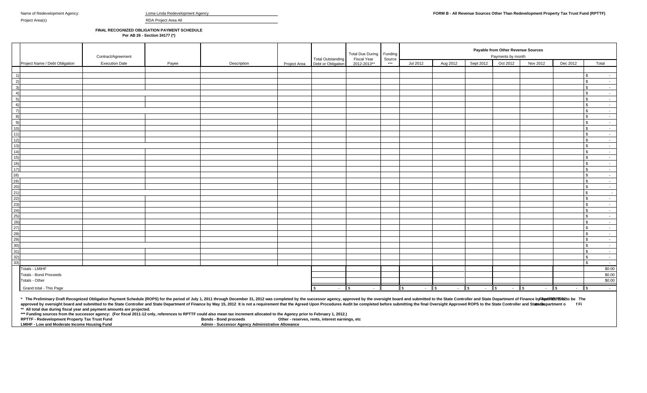| Loma Linda Redevelopment Ag |  |  |
|-----------------------------|--|--|
|-----------------------------|--|--|

Project Area(s) **RDA Project Area All** 

**FINAL RECOGNIZED OBLIGATION PAYMENT SCHEDULE**

**Per AB 26 - Section 34177 (\*)**

|                                                      |                                | Contract/Agreement    |       |             |              | <b>Total Outstanding</b>     | <b>Total Due During</b><br>Fiscal Year | Funding<br>Source | Payable from Other Revenue Sources<br>Payments by month |                               |            |                      |          |                           |                              |  |  |
|------------------------------------------------------|--------------------------------|-----------------------|-------|-------------|--------------|------------------------------|----------------------------------------|-------------------|---------------------------------------------------------|-------------------------------|------------|----------------------|----------|---------------------------|------------------------------|--|--|
|                                                      | Project Name / Debt Obligation | <b>Execution Date</b> | Payee | Description | Project Area | Debt or Obligation           | 2012-2013**                            | $***$             | Jul 2012                                                | Aug 2012                      | Sept 2012  | Oct 2012             | Nov 2012 | Dec 2012                  | Total                        |  |  |
|                                                      |                                |                       |       |             |              |                              |                                        |                   |                                                         |                               |            |                      |          |                           |                              |  |  |
| $-1)$                                                |                                |                       |       |             |              |                              |                                        |                   |                                                         |                               |            |                      |          |                           | \$                           |  |  |
|                                                      |                                |                       |       |             |              |                              |                                        |                   |                                                         |                               |            |                      |          |                           | $\mathbb{S}$<br>$\sim$       |  |  |
| $\begin{array}{c} 2) \\ 3) \end{array}$              |                                |                       |       |             |              |                              |                                        |                   |                                                         |                               |            |                      |          |                           | $\mathbb{S}$<br>$\sim$       |  |  |
| 4)                                                   |                                |                       |       |             |              |                              |                                        |                   |                                                         |                               |            |                      |          |                           | $\mathbb{S}$<br>$\sim$       |  |  |
| 5)                                                   |                                |                       |       |             |              |                              |                                        |                   |                                                         |                               |            |                      |          |                           | $\sim$<br>\$                 |  |  |
| 6)                                                   |                                |                       |       |             |              |                              |                                        |                   |                                                         |                               |            |                      |          |                           | $\mathbb{S}$<br>$\sim$       |  |  |
| $\left( 7\right)$                                    |                                |                       |       |             |              |                              |                                        |                   |                                                         |                               |            |                      |          |                           | $\mathbf{s}$<br>$\sim$ $-$   |  |  |
| $\overline{8}$                                       |                                |                       |       |             |              |                              |                                        |                   |                                                         |                               |            |                      |          |                           | $\mathbb{S}$<br>$\sim$       |  |  |
| 9)                                                   |                                |                       |       |             |              |                              |                                        |                   |                                                         |                               |            |                      |          |                           | \$<br>$\sim$ $-$             |  |  |
| 10)                                                  |                                |                       |       |             |              |                              |                                        |                   |                                                         |                               |            |                      |          |                           | $\mathbf{s}$<br>$\sim$       |  |  |
| 11)                                                  |                                |                       |       |             |              |                              |                                        |                   |                                                         |                               |            |                      |          |                           | $\mathbb{S}$<br>$\sim$       |  |  |
|                                                      |                                |                       |       |             |              |                              |                                        |                   |                                                         |                               |            |                      |          |                           | $\mathbb{S}$<br>$\sim$       |  |  |
| $\frac{12}{13}$<br>$\frac{13}{14}$                   |                                |                       |       |             |              |                              |                                        |                   |                                                         |                               |            |                      |          |                           | $\mathfrak{S}$<br>$\sim$     |  |  |
|                                                      |                                |                       |       |             |              |                              |                                        |                   |                                                         |                               |            |                      |          |                           | $\mathbf{s}$<br>$\sim$       |  |  |
| 15)                                                  |                                |                       |       |             |              |                              |                                        |                   |                                                         |                               |            |                      |          |                           | $\mathbb{S}$<br>$\sim$       |  |  |
| 16)                                                  |                                |                       |       |             |              |                              |                                        |                   |                                                         |                               |            |                      |          |                           | $\mathbb{S}$<br>$\sim$       |  |  |
| 17)                                                  |                                |                       |       |             |              |                              |                                        |                   |                                                         |                               |            |                      |          |                           | $\mathbb{S}$<br>$\sim$       |  |  |
| 18)                                                  |                                |                       |       |             |              |                              |                                        |                   |                                                         |                               |            |                      |          |                           | $\sim$<br>$\mathbf{s}$       |  |  |
| $\frac{1}{19}$                                       |                                |                       |       |             |              |                              |                                        |                   |                                                         |                               |            |                      |          |                           | \$<br>$\sim$                 |  |  |
|                                                      |                                |                       |       |             |              |                              |                                        |                   |                                                         |                               |            |                      |          |                           | $\mathbb{S}$<br>$\sim$ $-$   |  |  |
| 20)<br>21)<br>22)<br>23)                             |                                |                       |       |             |              |                              |                                        |                   |                                                         |                               |            |                      |          |                           | $\mathfrak{s}$<br>$\sim$     |  |  |
|                                                      |                                |                       |       |             |              |                              |                                        |                   |                                                         |                               |            |                      |          |                           | $\mathbb{S}$<br>$\sim$       |  |  |
|                                                      |                                |                       |       |             |              |                              |                                        |                   |                                                         |                               |            |                      |          |                           | $\mathbf{s}$<br>$\sim$       |  |  |
|                                                      |                                |                       |       |             |              |                              |                                        |                   |                                                         |                               |            |                      |          |                           | \$<br>$\sim$                 |  |  |
|                                                      |                                |                       |       |             |              |                              |                                        |                   |                                                         |                               |            |                      |          |                           | $\mathbb{S}$<br>$\sim$       |  |  |
|                                                      |                                |                       |       |             |              |                              |                                        |                   |                                                         |                               |            |                      |          |                           | $\mathbb{S}$<br>$\sim$       |  |  |
| 24)<br>25)<br>20)<br>20)<br>20)<br>30)<br>30)<br>31) |                                |                       |       |             |              |                              |                                        |                   |                                                         |                               |            |                      |          |                           | $\mathbb{S}$<br>$\sim$       |  |  |
|                                                      |                                |                       |       |             |              |                              |                                        |                   |                                                         |                               |            |                      |          |                           | $\mathbb{S}$<br>$\sim$       |  |  |
|                                                      |                                |                       |       |             |              |                              |                                        |                   |                                                         |                               |            |                      |          |                           | $\mathfrak{L}$<br>$\sim$ $-$ |  |  |
|                                                      |                                |                       |       |             |              |                              |                                        |                   |                                                         |                               |            |                      |          |                           | $\mathfrak{S}$<br>$\sim$     |  |  |
|                                                      |                                |                       |       |             |              |                              |                                        |                   |                                                         |                               |            |                      |          |                           | $\mathbb{S}$<br>$\sim$ $-$   |  |  |
| $\frac{32}{33}$                                      |                                |                       |       |             |              |                              |                                        |                   |                                                         |                               |            |                      |          |                           | $\mathbf{s}$<br>$\sim$       |  |  |
|                                                      |                                |                       |       |             |              |                              |                                        |                   |                                                         |                               |            |                      |          |                           | $\mathbf{s}$<br>$\sim$ $-$   |  |  |
|                                                      | Totals - LMIHF                 |                       |       |             |              |                              |                                        |                   |                                                         |                               |            |                      |          |                           | \$0.00                       |  |  |
|                                                      | <b>Totals - Bond Proceeds</b>  |                       |       |             |              |                              |                                        |                   |                                                         |                               |            |                      |          |                           | \$0.00                       |  |  |
|                                                      | Totals - Other                 |                       |       |             |              |                              |                                        |                   |                                                         |                               |            |                      |          |                           | \$0.00                       |  |  |
|                                                      | Grand total - This Page        |                       |       |             |              | $\sqrt{s}$<br>$\sim 10^{-1}$ | $\sqrt{ }$<br>$\sim$ $-$               |                   | <b>S</b><br>$\sim$                                      | $ \sqrt{3}$<br>$\parallel$ \$ | $\sim$ $-$ | $-$ \$<br>$\sqrt{3}$ | $\sim$   | $\sqrt{ }$<br>$ \sqrt{s}$ | $\sim$                       |  |  |

**\*\* All total due during fiscal year and payment amounts are projected.** \* The Preliminary Draft Recognized Obligation Payment Schedule (ROPS) for the period of July 1, 2011 through December 31, 2012 was completed by the successor agency, approved by the oversight board and submitted to the Sta approved by oversight board and submitted to the State Controller and State Department of Finance by May 15, 2012 It is not a requirement that the Agreed Upon Procedures Audit be completed before submitting the final Overs

**\*\*\* Funding sources from the successor agency: (For fiscal 2011-12 only, references to RPTTF could also mean tax increment allocated to the Agency prior to February 1, 2012.)**

**RPTTF - Redevelopment Property Tax Trust Fund<br><b>LMIHF - Low and Moderate Income Housing Fund Admin - Successor Agency Administrative Allowance**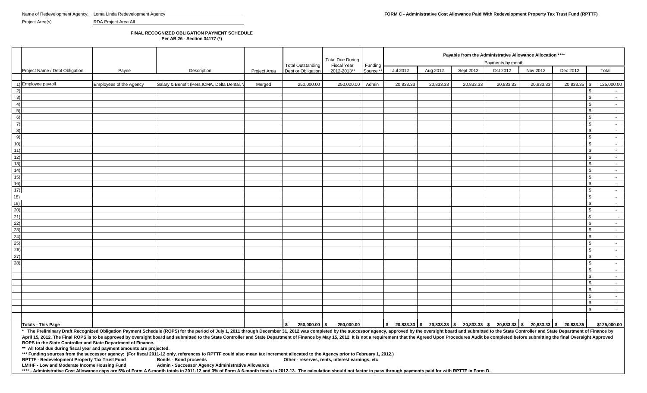Project Area(s) RDA Project Area All

## **FINAL RECOGNIZED OBLIGATION PAYMENT SCHEDULE**

**Per AB 26 - Section 34177 (\*)**

|                                                                                                |                                |                         |                                                                                                                                                                                                                                |              |                                                | <b>Total Due During</b>           |                      |           | Payable from the Administrative Allowance Allocation ****<br>Payments by month |           |           |           |              |                                 |
|------------------------------------------------------------------------------------------------|--------------------------------|-------------------------|--------------------------------------------------------------------------------------------------------------------------------------------------------------------------------------------------------------------------------|--------------|------------------------------------------------|-----------------------------------|----------------------|-----------|--------------------------------------------------------------------------------|-----------|-----------|-----------|--------------|---------------------------------|
|                                                                                                | Project Name / Debt Obligation | Payee                   | Description                                                                                                                                                                                                                    | Project Area | <b>Total Outstanding</b><br>Debt or Obligation | <b>Fiscal Year</b><br>2012-2013** | Funding<br>Source ** | Jul 2012  | Aug 2012                                                                       | Sept 2012 | Oct 2012  | Nov 2012  | Dec 2012     | Total                           |
|                                                                                                |                                |                         |                                                                                                                                                                                                                                |              |                                                |                                   |                      |           |                                                                                |           |           |           |              |                                 |
| 2)                                                                                             | 1) Employee payroll            | Employees of the Agency | Salary & Benefit (Pers, ICMA, Delta Dental,                                                                                                                                                                                    | Merged       | 250,000.00                                     | 250,000.00                        | Admin                | 20,833.33 | 20,833.33                                                                      | 20,833.33 | 20,833.33 | 20,833.33 | 20,833.35 \$ | 125,000.00<br>\$                |
| 3)                                                                                             |                                |                         |                                                                                                                                                                                                                                |              |                                                |                                   |                      |           |                                                                                |           |           |           |              | \$                              |
| 4)                                                                                             |                                |                         |                                                                                                                                                                                                                                |              |                                                |                                   |                      |           |                                                                                |           |           |           |              | \$<br>$\sim$                    |
| $-5)$                                                                                          |                                |                         |                                                                                                                                                                                                                                |              |                                                |                                   |                      |           |                                                                                |           |           |           |              | \$<br>$\sim$                    |
| 6)                                                                                             |                                |                         |                                                                                                                                                                                                                                |              |                                                |                                   |                      |           |                                                                                |           |           |           |              | \$                              |
| $\overline{7}$                                                                                 |                                |                         |                                                                                                                                                                                                                                |              |                                                |                                   |                      |           |                                                                                |           |           |           |              | \$                              |
| 8)                                                                                             |                                |                         |                                                                                                                                                                                                                                |              |                                                |                                   |                      |           |                                                                                |           |           |           |              | \$<br>$\sim$                    |
|                                                                                                |                                |                         |                                                                                                                                                                                                                                |              |                                                |                                   |                      |           |                                                                                |           |           |           |              | \$                              |
| $\frac{9}{10}$<br>$\frac{10}{11}$                                                              |                                |                         |                                                                                                                                                                                                                                |              |                                                |                                   |                      |           |                                                                                |           |           |           |              | \$<br>$\sim$                    |
|                                                                                                |                                |                         |                                                                                                                                                                                                                                |              |                                                |                                   |                      |           |                                                                                |           |           |           |              | $\mathbb{S}$                    |
|                                                                                                |                                |                         |                                                                                                                                                                                                                                |              |                                                |                                   |                      |           |                                                                                |           |           |           |              | \$.<br>$\sim$                   |
|                                                                                                |                                |                         |                                                                                                                                                                                                                                |              |                                                |                                   |                      |           |                                                                                |           |           |           |              | \$                              |
|                                                                                                |                                |                         |                                                                                                                                                                                                                                |              |                                                |                                   |                      |           |                                                                                |           |           |           |              | \$<br>$\sim$                    |
|                                                                                                |                                |                         |                                                                                                                                                                                                                                |              |                                                |                                   |                      |           |                                                                                |           |           |           |              | \$<br>$\sim$<br>\$              |
|                                                                                                |                                |                         |                                                                                                                                                                                                                                |              |                                                |                                   |                      |           |                                                                                |           |           |           |              | $\sim$<br>\$                    |
|                                                                                                |                                |                         |                                                                                                                                                                                                                                |              |                                                |                                   |                      |           |                                                                                |           |           |           |              | \$                              |
|                                                                                                |                                |                         |                                                                                                                                                                                                                                |              |                                                |                                   |                      |           |                                                                                |           |           |           |              | \$.                             |
|                                                                                                |                                |                         |                                                                                                                                                                                                                                |              |                                                |                                   |                      |           |                                                                                |           |           |           |              | $\mathbb S$                     |
|                                                                                                |                                |                         |                                                                                                                                                                                                                                |              |                                                |                                   |                      |           |                                                                                |           |           |           |              | $\mathfrak s$                   |
|                                                                                                |                                |                         |                                                                                                                                                                                                                                |              |                                                |                                   |                      |           |                                                                                |           |           |           |              | \$                              |
|                                                                                                |                                |                         |                                                                                                                                                                                                                                |              |                                                |                                   |                      |           |                                                                                |           |           |           |              | \$<br>$\sim$                    |
|                                                                                                |                                |                         |                                                                                                                                                                                                                                |              |                                                |                                   |                      |           |                                                                                |           |           |           |              | \$<br>$\sim$                    |
|                                                                                                |                                |                         |                                                                                                                                                                                                                                |              |                                                |                                   |                      |           |                                                                                |           |           |           |              | \$<br>$\sim$                    |
| 12)<br>13)<br>14)<br>15)<br>16)<br>17)<br>20)<br>21)<br>22)<br>22)<br>23)<br>24)<br>25)<br>28) |                                |                         |                                                                                                                                                                                                                                |              |                                                |                                   |                      |           |                                                                                |           |           |           |              | \$                              |
|                                                                                                |                                |                         |                                                                                                                                                                                                                                |              |                                                |                                   |                      |           |                                                                                |           |           |           |              | \$<br>$\sim$                    |
|                                                                                                |                                |                         |                                                                                                                                                                                                                                |              |                                                |                                   |                      |           |                                                                                |           |           |           |              | $\mathbb{S}$                    |
|                                                                                                |                                |                         |                                                                                                                                                                                                                                |              |                                                |                                   |                      |           |                                                                                |           |           |           |              | \$<br>$\sim$                    |
|                                                                                                |                                |                         |                                                                                                                                                                                                                                |              |                                                |                                   |                      |           |                                                                                |           |           |           |              | \$                              |
|                                                                                                |                                |                         |                                                                                                                                                                                                                                |              |                                                |                                   |                      |           |                                                                                |           |           |           |              | \$.<br>$\sim$<br>\$             |
|                                                                                                |                                |                         |                                                                                                                                                                                                                                |              |                                                |                                   |                      |           |                                                                                |           |           |           |              | $\sim$<br>$\mathbb S$<br>$\sim$ |
|                                                                                                |                                |                         |                                                                                                                                                                                                                                |              |                                                |                                   |                      |           |                                                                                |           |           |           |              | \$                              |
|                                                                                                |                                |                         |                                                                                                                                                                                                                                |              |                                                |                                   |                      |           |                                                                                |           |           |           |              | $\mathbb{S}$                    |
|                                                                                                |                                |                         |                                                                                                                                                                                                                                |              |                                                |                                   |                      |           |                                                                                |           |           |           |              |                                 |
|                                                                                                |                                |                         |                                                                                                                                                                                                                                |              |                                                |                                   |                      |           |                                                                                |           |           |           |              |                                 |
|                                                                                                | <b>Totals - This Page</b>      |                         | * The Preliminary Draft Recognized Obligation Payment Schedule (ROPS) for the period of July 1, 2011 through December 31, 2012 was completed by the successor agency, approved by the oversight board and submitted to the Sta |              | 250,000.00 \$<br>$\frac{1}{2}$                 | 250,000.00                        |                      |           |                                                                                |           |           |           |              | \$125,000.00                    |

April 15, 2012. The Final ROPS is to be approved by oversight board and submitted to the State Controller and State Department of Finance by May 15, 2012 It is not a requirement that the Agreed Upon Procedures Audit be com **ROPS to the State Controller and State Department of Finance.**

**\*\* All total due during fiscal year and payment amounts are projected.**

**\*\*\* Funding sources from the successor agency: (For fiscal 2011-12 only, references to RPTTF could also mean tax increment allocated to the Agency prior to February 1, 2012.)**

**RPTTF - Redevelopment Property Tax Trust Fund LMIHF - Low and Moderate Income Housing Fund** 

**Admin - Successor Agency Administrative Allowance** 

\*\*\*\* - Administrative Cost Allowance caps are 5% of Form A 6-month totals in 2011-12 and 3% of Form A 6-month totals in 2012-13. The calculation should not factor in pass through payments paid for with RPTTF in Form D.